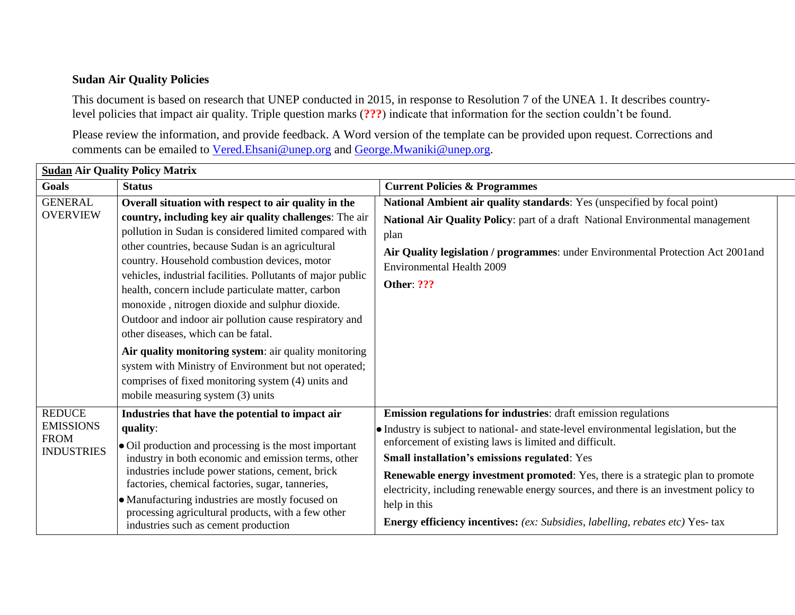## **Sudan Air Quality Policies**

This document is based on research that UNEP conducted in 2015, in response to Resolution 7 of the UNEA 1. It describes countrylevel policies that impact air quality. Triple question marks (**???**) indicate that information for the section couldn't be found.

Please review the information, and provide feedback. A Word version of the template can be provided upon request. Corrections and comments can be emailed to [Vered.Ehsani@unep.org](mailto:Vered.Ehsani@unep.org) and [George.Mwaniki@unep.org.](mailto:George.Mwaniki@unep.org)

| <b>Sudan Air Quality Policy Matrix</b>                                |                                                                                                                                                                                                                                                                                                                                                                                                                                                                                                                                                                                                                                                                                                                                                                     |                                                                                                                                                                                                                                                                                                                                                                                                                                                                                                                                                                       |  |  |
|-----------------------------------------------------------------------|---------------------------------------------------------------------------------------------------------------------------------------------------------------------------------------------------------------------------------------------------------------------------------------------------------------------------------------------------------------------------------------------------------------------------------------------------------------------------------------------------------------------------------------------------------------------------------------------------------------------------------------------------------------------------------------------------------------------------------------------------------------------|-----------------------------------------------------------------------------------------------------------------------------------------------------------------------------------------------------------------------------------------------------------------------------------------------------------------------------------------------------------------------------------------------------------------------------------------------------------------------------------------------------------------------------------------------------------------------|--|--|
| Goals                                                                 | <b>Status</b>                                                                                                                                                                                                                                                                                                                                                                                                                                                                                                                                                                                                                                                                                                                                                       | <b>Current Policies &amp; Programmes</b>                                                                                                                                                                                                                                                                                                                                                                                                                                                                                                                              |  |  |
| <b>GENERAL</b><br><b>OVERVIEW</b>                                     | Overall situation with respect to air quality in the<br>country, including key air quality challenges: The air<br>pollution in Sudan is considered limited compared with<br>other countries, because Sudan is an agricultural<br>country. Household combustion devices, motor<br>vehicles, industrial facilities. Pollutants of major public<br>health, concern include particulate matter, carbon<br>monoxide, nitrogen dioxide and sulphur dioxide.<br>Outdoor and indoor air pollution cause respiratory and<br>other diseases, which can be fatal.<br>Air quality monitoring system: air quality monitoring<br>system with Ministry of Environment but not operated;<br>comprises of fixed monitoring system (4) units and<br>mobile measuring system (3) units | National Ambient air quality standards: Yes (unspecified by focal point)<br>National Air Quality Policy: part of a draft National Environmental management<br>plan<br>Air Quality legislation / programmes: under Environmental Protection Act 2001and<br><b>Environmental Health 2009</b><br><b>Other: ???</b>                                                                                                                                                                                                                                                       |  |  |
| <b>REDUCE</b><br><b>EMISSIONS</b><br><b>FROM</b><br><b>INDUSTRIES</b> | Industries that have the potential to impact air<br>quality:<br>• Oil production and processing is the most important<br>industry in both economic and emission terms, other<br>industries include power stations, cement, brick<br>factories, chemical factories, sugar, tanneries,<br>· Manufacturing industries are mostly focused on<br>processing agricultural products, with a few other<br>industries such as cement production                                                                                                                                                                                                                                                                                                                              | <b>Emission regulations for industries:</b> draft emission regulations<br>• Industry is subject to national- and state-level environmental legislation, but the<br>enforcement of existing laws is limited and difficult.<br>Small installation's emissions regulated: Yes<br><b>Renewable energy investment promoted:</b> Yes, there is a strategic plan to promote<br>electricity, including renewable energy sources, and there is an investment policy to<br>help in this<br><b>Energy efficiency incentives:</b> (ex: Subsidies, labelling, rebates etc) Yes-tax |  |  |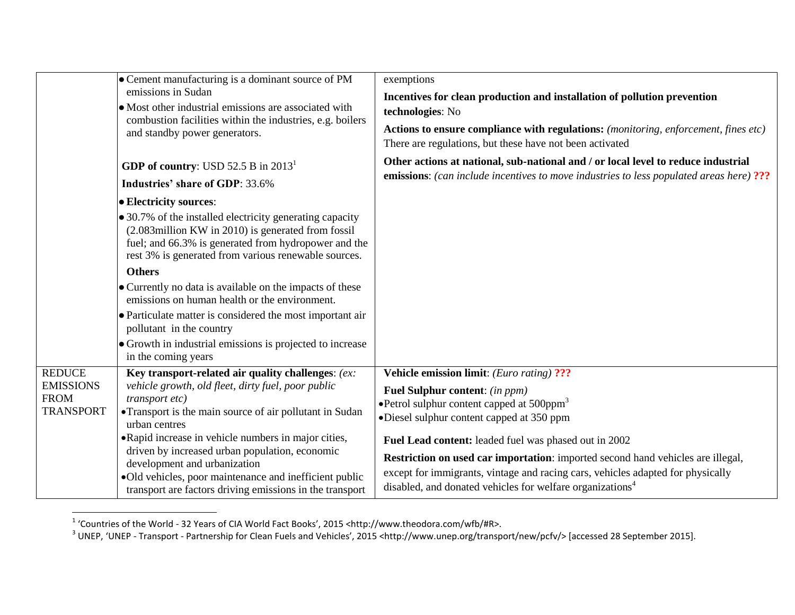|                                                                      | • Cement manufacturing is a dominant source of PM<br>emissions in Sudan<br>• Most other industrial emissions are associated with<br>combustion facilities within the industries, e.g. boilers<br>and standby power generators.                                                                                                                                                                                                                                          | exemptions<br>Incentives for clean production and installation of pollution prevention<br>technologies: No<br>Actions to ensure compliance with regulations: (monitoring, enforcement, fines etc)<br>There are regulations, but these have not been activated                                                                                                                                                                                                                                 |
|----------------------------------------------------------------------|-------------------------------------------------------------------------------------------------------------------------------------------------------------------------------------------------------------------------------------------------------------------------------------------------------------------------------------------------------------------------------------------------------------------------------------------------------------------------|-----------------------------------------------------------------------------------------------------------------------------------------------------------------------------------------------------------------------------------------------------------------------------------------------------------------------------------------------------------------------------------------------------------------------------------------------------------------------------------------------|
|                                                                      | <b>GDP</b> of country: USD 52.5 B in $20131$<br><b>Industries' share of GDP: 33.6%</b>                                                                                                                                                                                                                                                                                                                                                                                  | Other actions at national, sub-national and / or local level to reduce industrial<br><b>emissions:</b> (can include incentives to move industries to less populated areas here) ???                                                                                                                                                                                                                                                                                                           |
|                                                                      | • Electricity sources:                                                                                                                                                                                                                                                                                                                                                                                                                                                  |                                                                                                                                                                                                                                                                                                                                                                                                                                                                                               |
|                                                                      | • 30.7% of the installed electricity generating capacity<br>(2.083million KW in 2010) is generated from fossil<br>fuel; and 66.3% is generated from hydropower and the<br>rest 3% is generated from various renewable sources.                                                                                                                                                                                                                                          |                                                                                                                                                                                                                                                                                                                                                                                                                                                                                               |
|                                                                      | <b>Others</b>                                                                                                                                                                                                                                                                                                                                                                                                                                                           |                                                                                                                                                                                                                                                                                                                                                                                                                                                                                               |
|                                                                      | • Currently no data is available on the impacts of these<br>emissions on human health or the environment.                                                                                                                                                                                                                                                                                                                                                               |                                                                                                                                                                                                                                                                                                                                                                                                                                                                                               |
|                                                                      | • Particulate matter is considered the most important air<br>pollutant in the country                                                                                                                                                                                                                                                                                                                                                                                   |                                                                                                                                                                                                                                                                                                                                                                                                                                                                                               |
|                                                                      | • Growth in industrial emissions is projected to increase<br>in the coming years                                                                                                                                                                                                                                                                                                                                                                                        |                                                                                                                                                                                                                                                                                                                                                                                                                                                                                               |
| <b>REDUCE</b><br><b>EMISSIONS</b><br><b>FROM</b><br><b>TRANSPORT</b> | Key transport-related air quality challenges: (ex:<br>vehicle growth, old fleet, dirty fuel, poor public<br>transport etc)<br>• Transport is the main source of air pollutant in Sudan<br>urban centres<br>• Rapid increase in vehicle numbers in major cities,<br>driven by increased urban population, economic<br>development and urbanization<br>·Old vehicles, poor maintenance and inefficient public<br>transport are factors driving emissions in the transport | Vehicle emission limit: (Euro rating) ???<br>Fuel Sulphur content: (in ppm)<br>• Petrol sulphur content capped at $500$ ppm <sup>3</sup><br>•Diesel sulphur content capped at 350 ppm<br>Fuel Lead content: leaded fuel was phased out in 2002<br>Restriction on used car importation: imported second hand vehicles are illegal,<br>except for immigrants, vintage and racing cars, vehicles adapted for physically<br>disabled, and donated vehicles for welfare organizations <sup>4</sup> |

 1 'Countries of the World - 32 Years of CIA World Fact Books', 2015 <http://www.theodora.com/wfb/#R>. 3 UNEP, 'UNEP - Transport - Partnership for Clean Fuels and Vehicles', 2015 <http://www.unep.org/transport/new/pcfv/> [accessed 28 September 2015].